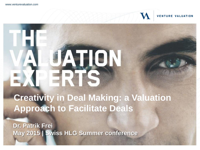

M

## HE ATION

**Creativity in Deal Making: a Valuation Approach to Facilitate Deals**

**Dr. Patrik Frei May 2015 | Swiss HLG Summer conference**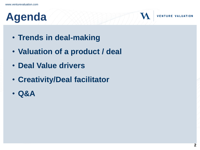## **Agenda**

- **Trends in deal-making**
- **Valuation of a product / deal**
- **Deal Value drivers**
- **Creativity/Deal facilitator**
- **Q&A**

 $\boldsymbol{M}$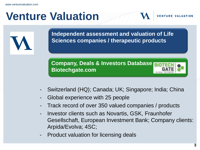#### **Venture Valuation**

**Independent assessment and valuation of Life Sciences companies / therapeutic products**

**Company, Deals & Investors Database Biotechgate.com**



- Switzerland (HQ); Canada; UK; Singapore; India; China
- Global experience with 25 people
- Track record of over 350 valued companies / products
- Investor clients such as Novartis, GSK, Fraunhofer Gesellschaft, European Investment Bank; Company clients: Arpida/Evolva; 4SC;
- Product valuation for licensing deals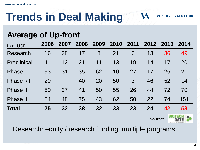## **Trends in Deal Making**

#### **Average of Up-front**

| In m USD           | 2006 | 2007            | 2008 | 2009 | 2010 | 2011 |    | 2012 2013 | 2014            |
|--------------------|------|-----------------|------|------|------|------|----|-----------|-----------------|
| Research           | 16   | 28              | 17   | 8    | 21   | 6    | 13 | 36        | 49              |
| <b>Preclinical</b> | 11   | 12              | 21   | 11   | 13   | 19   | 14 | 17        | 20              |
| <b>Phase</b> I     | 33   | 31              | 35   | 62   | 10   | 27   | 17 | 25        | 21              |
| Phase I/II         | 20   |                 | 40   | 20   | 50   | 3    | 46 | 52        | 14              |
| <b>Phase II</b>    | 50   | 37              | 41   | 50   | 55   | 26   | 44 | 72        | 70              |
| <b>Phase III</b>   | 24   | 48              | 75   | 43   | 62   | 50   | 22 | 74        | 151             |
| <b>Total</b>       | 25   | 32 <sub>2</sub> | 38   | 32   | 33   | 23   | 24 | 42        | 53              |
|                    |      |                 |      |      |      |      |    |           | <b>BIATEALL</b> |

**Source:** 



 $\boldsymbol{\mathsf{M}}$ 

**VENTURE VALUATION** 

Research: equity / research funding; multiple programs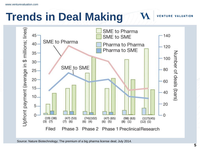### **Trends in Deal Making**

Jpfront payment (average in \$ millions; lines) SME to Pharma  $45 -$ 140 SME to SME SME to Pharma 40 Pharma to Pharma 120 Pharma to SME  $35 -$ Number of deals (bars) 100  $30 -$ SME to SME 80  $25 20 -$ 60  $15 -$ 40  $10.$ 20  $5 \Omega$  $\Omega$  $(19)$   $(38)$  $(47)$  (53)  $(74)(102)$  $(47)$   $(65)$  $(98)$   $(63)$  $(117)(45)$  $(7)$   $(6)$  $(3)$   $(7)$  $(6)$   $(4)$  $(6)$   $(5)$  $(8)$   $(1)$  $(12)$   $(1)$ Filed Phase 3 Phase 2 Phase 1 Preclinical Research

Source: Nature Biotechnology; The premium of a big pharma license deal; July 2014.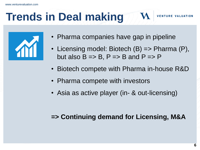## **Trends in Deal making**

- Pharma companies have gap in pipeline
- Licensing model: Biotech (B) => Pharma (P), but also  $B \Rightarrow B$ ,  $P \Rightarrow B$  and  $P \Rightarrow P$

**VENTURE** 

- Biotech compete with Pharma in-house R&D
- Pharma compete with investors
- Asia as active player (in- & out-licensing)

#### **=> Continuing demand for Licensing, M&A**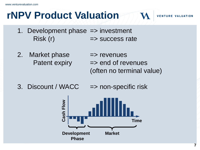#### **rNPV Product Valuation**

- 1. Development phase => investment  $Risk(r)$   $\qquad \qquad \Rightarrow$  success rate
- 2. Market phase  $\implies$  revenues Patent expiry => end of revenues (often no terminal value)
- 3. Discount / WACC => non-specific risk

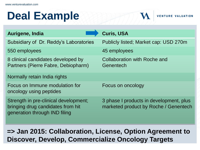#### **Deal Example**

| Aurigene, India                                                                                             | <b>Curis, USA</b>                                                                |
|-------------------------------------------------------------------------------------------------------------|----------------------------------------------------------------------------------|
| Subsidiary of Dr. Reddy's Laboratories                                                                      | Publicly listed; Market cap: USD 270m                                            |
| 550 employees                                                                                               | 45 employees                                                                     |
| 8 clinical candidates developed by<br>Partners (Pierre Fabre, Debiopharm)                                   | <b>Collaboration with Roche and</b><br>Genentech                                 |
| Normally retain India rights                                                                                |                                                                                  |
| Focus on Immune modulation for<br>oncology using peptides                                                   | Focus on oncology                                                                |
| Strength in pre-clinical development;<br>bringing drug candidates from hit<br>generation through IND filing | 3 phase I products in development, plus<br>marketed product by Roche / Genentech |

**VENTURE VALUATION** 

**=> Jan 2015: Collaboration, License, Option Agreement to Discover, Develop, Commercialize Oncology Targets**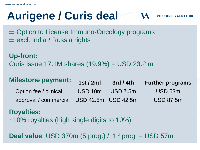## **Aurigene / Curis deal**

 $\Rightarrow$  Option to License Immuno-Oncology programs  $\Rightarrow$  excl. India / Russia rights

**Up-front:** Curis issue 17.1M shares (19.9%) = USD 23.2 m

| <b>Milestone payment:</b>                 | <b>1st / 2nd</b> | 3rd/4th          | <b>Further programs</b> |
|-------------------------------------------|------------------|------------------|-------------------------|
| Option fee / clinical                     |                  | USD 10m USD 7.5m | USD 53m                 |
| approval / commercial USD 42.5m USD 42.5m |                  |                  | <b>USD 87.5m</b>        |

**VENTURE** 

#### **Royalties:**

~10% royalties (high single digits to 10%)

**Deal value**: USD 370m (5 prog.) / 1<sup>st</sup> prog. = USD 57m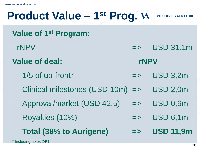#### **Product Value – 1 st Prog.**

**VENTURE** 

**Value of 1st Program:**

- $-$  rNPV  $\rightarrow$   $\sim$   $\sim$   $\sim$   $\sim$   $\sim$   $\sim$  USD 31.1m
- **Value of deal: rNPV**
- $-$  1/5 of up-front\*  $\qquad \qquad \Rightarrow \qquad \text{USD 3,2m}$
- Clinical milestones (USD 10m) => USD 2,0m
- Approval/market (USD 42.5) => USD 0,6m
- Royalties (10%) => USD 6,1m
- **Total (38% to Aurigene) => USD 11,9m**

\* Including taxes 24%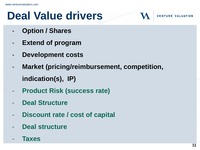## **Deal Value drivers**

- **Option / Shares**
- **Extend of program**
- **Development costs**
- **Market (pricing/reimbursement, competition, indication(s), IP)**
- **Product Risk (success rate)**
- **Deal Structure**
- **Discount rate / cost of capital**
- **Deal structure**
- **Taxes**

**VENTURE**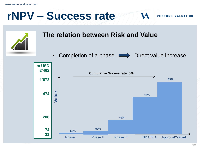#### **rNPV – Success rate**

**VENTURE VALUATION** 



#### **The relation between Risk and Value**

• Completion of a phase  $\longrightarrow$  Direct value increase

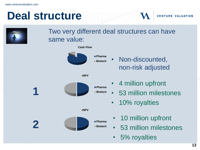#### **Deal structure**



#### Two very different deal structures can have same value:

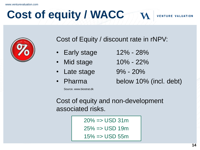## **Cost of equity / WACC**



Cost of Equity / discount rate in rNPV:

- Early stage 12% 28%
- 
- Late stage 9% 20%
- 

Source. www.biostrat.dk

- Mid stage 10% 22%
	-
- Pharma below 10% (incl. debt)

**VENTURE VALUATION** 

Cost of equity and non-development associated risks.

> $20\% \Rightarrow$  USD 31m  $25\% \Rightarrow$  USD 19m  $15\% = \text{USD} 55m$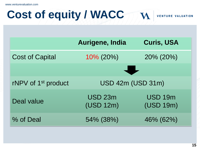www.venturevaluation.com

#### **Cost of equity / WACC** M **VENTURE VALUATION**

|                                 | Aurigene, India                 | <b>Curis, USA</b>           |
|---------------------------------|---------------------------------|-----------------------------|
| <b>Cost of Capital</b>          | $10\%$ (20%)                    | 20% (20%)                   |
|                                 |                                 |                             |
| rNPV of 1 <sup>st</sup> product |                                 | <b>USD 42m (USD 31m)</b>    |
| Deal value                      | USD <sub>23m</sub><br>(USD 12m) | <b>USD 19m</b><br>(USD 19m) |
| % of Deal                       | 54% (38%)                       | 46% (62%)                   |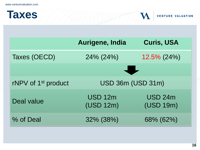| <b>Taxes</b> | <b>VENTURE VALUATION</b> |
|--------------|--------------------------|
|              |                          |

|                                 | Aurigene, India             | <b>Curis, USA</b>           |
|---------------------------------|-----------------------------|-----------------------------|
| Taxes (OECD)                    | 24% (24%)                   | $12.5\%$ (24%)              |
|                                 |                             |                             |
| rNPV of 1 <sup>st</sup> product |                             | <b>USD 36m (USD 31m)</b>    |
| Deal value                      | <b>USD 12m</b><br>(USD 12m) | <b>USD 24m</b><br>(USD 19m) |
| % of Deal                       | 32% (38%)                   | 68% (62%)                   |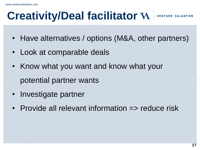#### **Creativity/Deal facilitator**

**VENTURE** 

- Have alternatives / options (M&A, other partners)
- Look at comparable deals
- Know what you want and know what your potential partner wants
- Investigate partner
- Provide all relevant information => reduce risk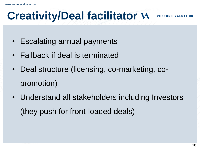#### **Creativity/Deal facilitator**

**VENTURE** 

- Escalating annual payments
- Fallback if deal is terminated
- Deal structure (licensing, co-marketing, copromotion)
- Understand all stakeholders including Investors (they push for front-loaded deals)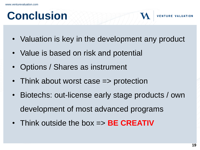#### **Conclusion**

- Valuation is key in the development any product
- Value is based on risk and potential
- Options / Shares as instrument
- Think about worst case => protection
- Biotechs: out-license early stage products / own development of most advanced programs
- Think outside the box => **BE CREATIV**